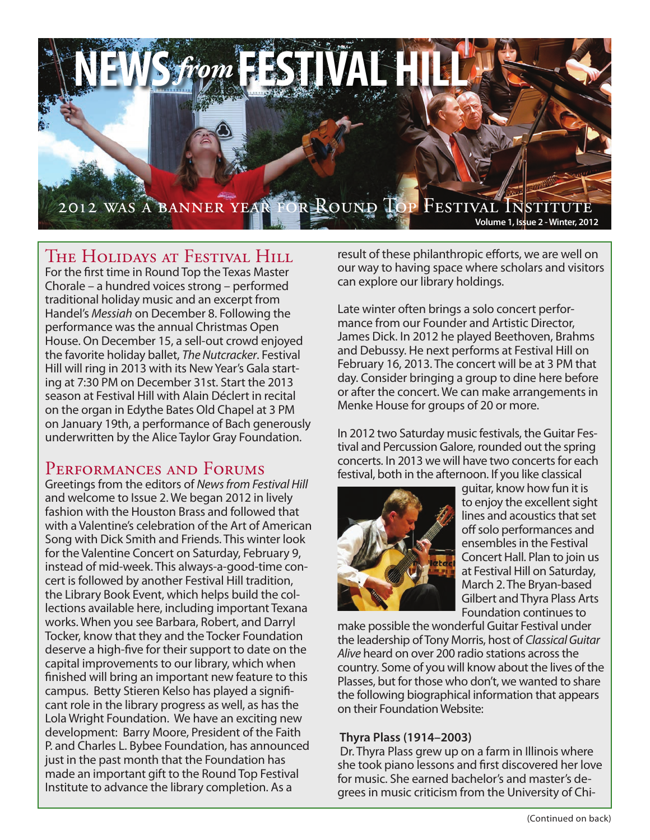

## The Holidays at Festival Hill

For the first time in Round Top the Texas Master Chorale – a hundred voices strong – performed traditional holiday music and an excerpt from Handel's *Messiah* on December 8. Following the performance was the annual Christmas Open House. On December 15, a sell-out crowd enjoyed the favorite holiday ballet, *The Nutcracker*. Festival Hill will ring in 2013 with its New Year's Gala starting at 7:30 PM on December 31st. Start the 2013 season at Festival Hill with Alain Déclert in recital on the organ in Edythe Bates Old Chapel at 3 PM on January 19th, a performance of Bach generously underwritten by the Alice Taylor Gray Foundation.

## PERFORMANCES AND FORUMS

Greetings from the editors of *News from Festival Hill* and welcome to Issue 2. We began 2012 in lively fashion with the Houston Brass and followed that with a Valentine's celebration of the Art of American Song with Dick Smith and Friends. This winter look for the Valentine Concert on Saturday, February 9, instead of mid-week. This always-a-good-time concert is followed by another Festival Hill tradition, the Library Book Event, which helps build the collections available here, including important Texana works. When you see Barbara, Robert, and Darryl Tocker, know that they and the Tocker Foundation deserve a high-five for their support to date on the capital improvements to our library, which when finished will bring an important new feature to this campus. Betty Stieren Kelso has played a significant role in the library progress as well, as has the Lola Wright Foundation. We have an exciting new development: Barry Moore, President of the Faith P. and Charles L. Bybee Foundation, has announced just in the past month that the Foundation has made an important gift to the Round Top Festival Institute to advance the library completion. As a

result of these philanthropic efforts, we are well on our way to having space where scholars and visitors can explore our library holdings.

Late winter often brings a solo concert performance from our Founder and Artistic Director, James Dick. In 2012 he played Beethoven, Brahms and Debussy. He next performs at Festival Hill on February 16, 2013. The concert will be at 3 PM that day. Consider bringing a group to dine here before or after the concert. We can make arrangements in Menke House for groups of 20 or more.

In 2012 two Saturday music festivals, the Guitar Festival and Percussion Galore, rounded out the spring concerts. In 2013 we will have two concerts for each festival, both in the afternoon. If you like classical



guitar, know how fun it is to enjoy the excellent sight lines and acoustics that set off solo performances and ensembles in the Festival Concert Hall. Plan to join us at Festival Hill on Saturday, March 2. The Bryan-based Gilbert and Thyra Plass Arts Foundation continues to

make possible the wonderful Guitar Festival under the leadership of Tony Morris, host of *Classical Guitar Alive* heard on over 200 radio stations across the country. Some of you will know about the lives of the Plasses, but for those who don't, we wanted to share the following biographical information that appears on their Foundation Website:

### **Thyra Plass (1914–2003)**

 Dr. Thyra Plass grew up on a farm in Illinois where she took piano lessons and first discovered her love for music. She earned bachelor's and master's degrees in music criticism from the University of Chi-